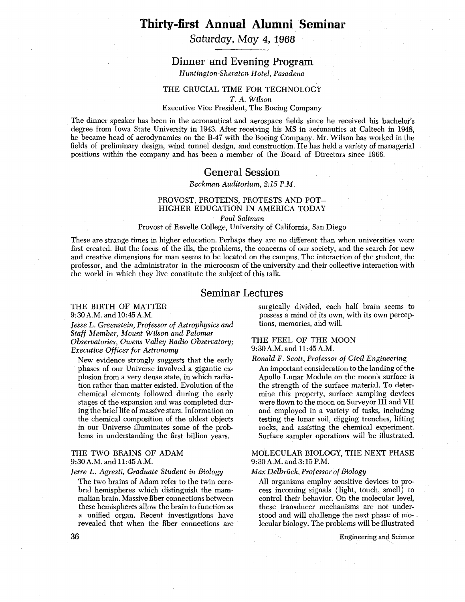# **Thirty-first Annual Alumni Seminar**

# Saturday, May 4, **1968**

# Dinner and Evening Program

*Huntington-Sheraton Hotel, Pasadena* 

### THE CRUCIAL TIME FOR TECHNOLOGY

*T. A. Wilson* 

#### Executive Vice President, The Boeing Company

The dinner speaker has been in the aeronautical and aerospace fields since he received his bachelor's degree from Iowa State University in 1943. After receiving his MS in aeronautics at Caltech in 1948, he became head of aerodynamics on the B-47 with the Boeing Company. Mr. Wilson has worked in the fields of preliminary design, wind tunnel design, and construction. He has held a variety of managerial positions within the company and has been a member of the Board of Directors since 1966.

# General Session

*Beckmun Auditorium,* 2:15 *P.M.* 

# PROVOST, PROTEINS, PROTESTS AND POT-HIGHER EDUCATION IN AMERICA TODAY

*Paul Saltmun* 

#### Provost of Revelle College, University of California, San Diego

These are strange times in higher education. Perhaps they are no different than when universities were first created. But the focus of the ills, the problems, the concerns of our society, and the search for new and creative dimensions for man seems to be located on the campus. The interaction of the student, the professor, and the administrator in the microcosm of the university and their collective interaction with the world in which they live constitute the subject of this talk.

# Seminar Lectures

# THE BIRTH OF MATTER

9:30A.M. and 1O:45 A.M.

*Jesse* L. *Greenstein, Professor of Astrophysics and Staff Member, Mount Wilson and Palomur Observatories, Owens Valley Radio Observatory; Executive Officer for Astronomy* 

New evidence strongly suggests that the early phases of our Universe involved a gigantic explosion from a very dense state, in which radiation rather than matter existed. Evolution of the chemical elements followed during the early stages of the expansion and was completed during the brief life of massive stars. Information on the chemical composition of the oldest objects in our Universe illuminates some of the problems in understanding the first billion years.

### THE TWO BRAINS OF ADAM 9:30A.M. and 11:45A.M.

#### *Jerre L. Agresti, Graduate Student in Biology*

The two brains of Adam refer to the twin cerebral hemispheres which distinguish the mammalian brain. Massive fiber connections between these hemispheres allow the brain to function as a unified organ. Recent investigations have revealed that when the fiber connections are surgically divided, each half brain seems to possess a mind of its own, with its own perceptions, memories, and will.

#### THE FEEL OF THE MOON 9:30A.M. and 1l:45 A.M.

#### *Ronald F. Scott, Professor of Civil Engineering*

An important consideration to the landing of the Apollo Lunar Module on the moon's surface is the strength of the surface material. To determine this property, surface sampling devices were flown to the moon on Surveyor I11 and VII and employed in a variety of tasks, including testing the lunar soil, digging trenches, lifting rocks, and assisting the chemical experiment. Surface sampler operations will be illustrated.

### MOLECULAR BIOLOGY, THE NEXT PHASE 9:3O A.M. and 3: 15 P.M.

#### *Max Delbriick, Professor of Biology*

All organisms employ sensitive devices to process incoming signals (light, touch, smell) to control their behavior. On the molecular level, these transducer mechanisms are not understood and will challenge the next phase of niolecular biology. The problems will be illustrated

*Engineering and Science*